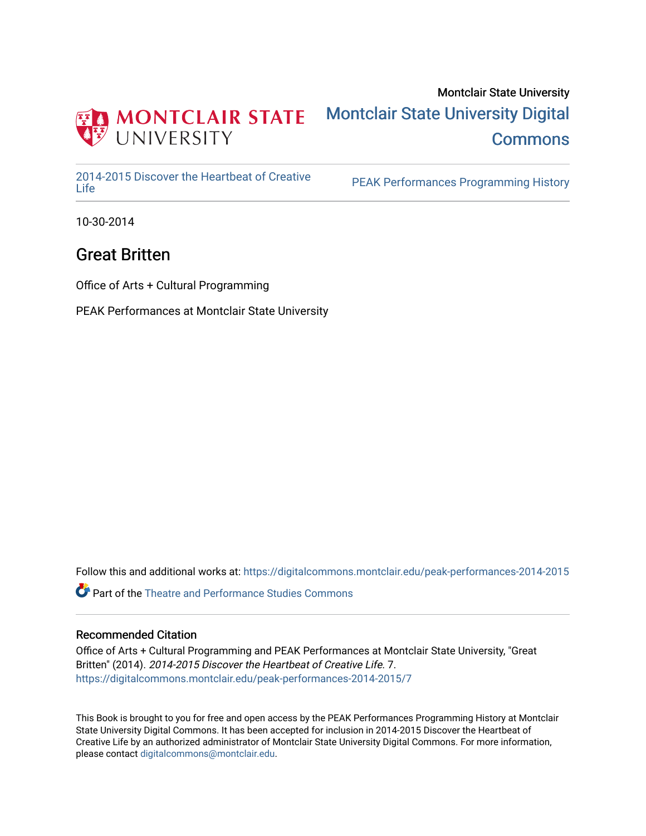

### Montclair State University [Montclair State University Digital](https://digitalcommons.montclair.edu/)  **Commons**

[2014-2015 Discover the Heartbeat of Creative](https://digitalcommons.montclair.edu/peak-performances-2014-2015) 

PEAK Performances Programming History

10-30-2014

### Great Britten

Office of Arts + Cultural Programming

PEAK Performances at Montclair State University

Follow this and additional works at: [https://digitalcommons.montclair.edu/peak-performances-2014-2015](https://digitalcommons.montclair.edu/peak-performances-2014-2015?utm_source=digitalcommons.montclair.edu%2Fpeak-performances-2014-2015%2F7&utm_medium=PDF&utm_campaign=PDFCoverPages) 

Part of the [Theatre and Performance Studies Commons](http://network.bepress.com/hgg/discipline/552?utm_source=digitalcommons.montclair.edu%2Fpeak-performances-2014-2015%2F7&utm_medium=PDF&utm_campaign=PDFCoverPages) 

#### Recommended Citation

Office of Arts + Cultural Programming and PEAK Performances at Montclair State University, "Great Britten" (2014). 2014-2015 Discover the Heartbeat of Creative Life. 7. [https://digitalcommons.montclair.edu/peak-performances-2014-2015/7](https://digitalcommons.montclair.edu/peak-performances-2014-2015/7?utm_source=digitalcommons.montclair.edu%2Fpeak-performances-2014-2015%2F7&utm_medium=PDF&utm_campaign=PDFCoverPages) 

This Book is brought to you for free and open access by the PEAK Performances Programming History at Montclair State University Digital Commons. It has been accepted for inclusion in 2014-2015 Discover the Heartbeat of Creative Life by an authorized administrator of Montclair State University Digital Commons. For more information, please contact [digitalcommons@montclair.edu.](mailto:digitalcommons@montclair.edu)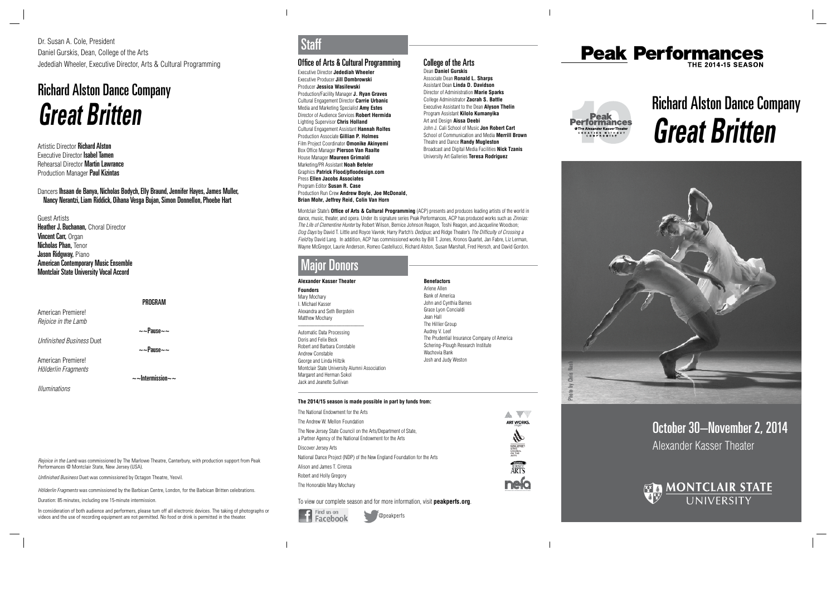October 30–November 2, 2014 Alexander Kasser Theater



# Richard Alston Dance Company **Great Britten**







Dr. Susan A. Cole, President Daniel Gurskis, Dean, College of the Arts Jedediah Wheeler, Executive Director, Arts & Cultural Programming

# Richard Alston Dance Company **Great Britten**

**Artistic Director Richard Alston** Executive Director Isabel Tamen Rehearsal Director Martin Lawrance **Production Manager Paul Kizintas** 

### Performances @ Montclair State, New Jersey (USA). Unfinished Business Duet was commissioned by Octagon Theatre, Yeovil.

Rejoice in the Lamb was commissioned by The Marlowe Theatre, Canterbury, with production support from Peak

Hölderlin Fragments was commissioned by the Barbican Centre, London, for the Barbican Britten celebrations.

Duration: 85 minutes, including one 15-minute intermission.

In consideration of both audience and performers, please turn off all electronic devices. The taking of photographs or videos and the use of recording equipment are not permitted. No food or drink is permitted in the theater.

#### Office of Arts & Cultural Programming

Executive Director **Jedediah Wheeler** Executive Producer **Jill Dombrowski** Producer **Jessica Wasilewski** Production/Facility Manager **J. Ryan Graves** Cultural Engagement Director **Carrie Urbanic** Media and Marketing Specialist **Amy Estes** Director of Audience Services **Robert Hermida** Lighting Supervisor **Chris Holland** Cultural Engagement Assistant **Hannah Rolfes**  Production Associate **Gillian P. Holmes**  Film Project Coordinator **Omonike Akinyemi** Box Office Manager **Pierson Van Raalte** House Manager **Maureen Grimaldi** Marketing/PR Assistant **Noah Befeler** Graphics **Patrick Flood/pfloodesign.com** Press **Ellen Jacobs Associates** Program Editor **Susan R. Case** Production Run Crew **Andrew Boyle, Joe McDonald, Brian Mohr, Jeffrey Reid, Colin Van Horn**

Montclair State's **Office of Arts & Cultural Programming** (ACP) presents and produces leading artists of the world in dance, music, theater, and opera. Under its signature series Peak Performances, ACP has produced works such as Zinnias: The Life of Clementine Hunter by Robert Wilson, Bernice Johnson Reagon, Toshi Reagon, and Jacqueline Woodson; Dog Days by David T. Little and Royce Vavrek; Harry Partch's Oedipus; and Ridge Theater's The Difficulty of Crossing a Field by David Lang. In addition, ACP has commissioned works by Bill T. Jones, Kronos Quartet, Jan Fabre, Liz Lerman, Wayne McGregor, Laurie Anderson, Romeo Castellucci, Richard Alston, Susan Marshall, Fred Hersch, and David Gordon.

**Heather J. Buchanan, Choral Director Vincent Carr, Organ** Nicholas Phan, Tenor Jason Ridgway, Piano American Contemporary Music Ensemble Montclair State University Vocal Accord

PROGRAM American Premiere! Rejoice in the Lamb  $\sim$ -Pause $\sim$ Unfinished Business Duet  $\sim$ -Pause $\sim$ American Premiere! Hölderlin Fragments  $\sim$ ~Intermission~~

@peakperfs

## Staff

**Alexander Kasser Theater**

**Founders** Mary Mochary I. Michael Kasser Alexandra and Seth Bergstein Matthew Mochary

\_\_\_\_\_\_\_\_\_\_\_\_\_\_\_\_\_\_\_\_\_\_\_\_

Automatic Data Processing Doris and Felix Beck Robert and Barbara Constable Andrew Constable George and Linda Hiltzik Montclair State University Alumni Association Margaret and Herman Sokol Jack and Jeanette Sullivan

**Benefactors** Arlene Allen Bank of America John and Cynthia Barnes Grace Lyon Concialdi Jean Hall The Hillier Group Audrey V. Leef The Prudential Insurance Company of America Schering-Plough Research Institute Wachovia Bank Josh and Judy Weston

# Major Donors

#### **The 2014/15 season is made possible in part by funds from:**

| The National Endowment for the Arts                                                                                      |                   |
|--------------------------------------------------------------------------------------------------------------------------|-------------------|
| The Andrew W. Mellon Foundation                                                                                          | ART WORKS.        |
| The New Jersey State Council on the Arts/Department of State.<br>a Partner Agency of the National Endowment for the Arts |                   |
| Discover Jersey Arts                                                                                                     | state.<br>"Ouncil |
| National Dance Project (NDP) of the New England Foundation for the Arts                                                  | <b>IRTS</b>       |
| Alison and James T. Cirenza                                                                                              |                   |
| Robert and Holly Gregory                                                                                                 |                   |
| The Honorable Mary Mochary                                                                                               |                   |

To view our complete season and for more information, visit **peakperfs.org**.



#### College of the Arts Dean **Daniel Gurskis**

Associate Dean **Ronald L. Sharps** Assistant Dean **Linda D. Davidson** Director of Administration **Marie Sparks** College Administrator **Zacrah S. Battle** Executive Assistant to the Dean **Alyson Thelin** Program Assistant **Kilolo Kumanyika** Art and Design **Aissa Deebi** John J. Cali School of Music **Jon Robert Cart** School of Communication and Media **Merrill Brown** Theatre and Dance **Randy Mugleston** Broadcast and Digital Media Facilities **Nick Tzanis** University Art Galleries **Teresa Rodriguez**

Dancers Ihsaan de Banya, Nicholas Bodych, Elly Braund, Jennifer Hayes, James Muller, Nancy Nerantzi, Liam Riddick, Oihana Vesga Bujan, Simon Donnellon, Phoebe Hart

Guest Artists

Illuminations